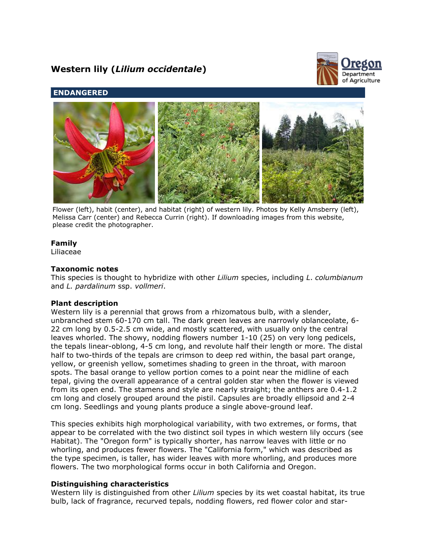# **Western lily (***Lilium occidentale***)**



# **ENDANGERED**



Flower (left), habit (center), and habitat (right) of western lily. Photos by Kelly Amsberry (left), Melissa Carr (center) and Rebecca Currin (right). If downloading images from this website, please credit the photographer.

# **Family**

Liliaceae

## **Taxonomic notes**

This species is thought to hybridize with other *Lilium* species, including *L*. *columbianum* and *L. pardalinum* ssp. *vollmeri*.

# **Plant description**

Western lily is a perennial that grows from a rhizomatous bulb, with a slender, unbranched stem 60-170 cm tall. The dark green leaves are narrowly oblanceolate, 6- 22 cm long by 0.5-2.5 cm wide, and mostly scattered, with usually only the central leaves whorled. The showy, nodding flowers number 1-10 (25) on very long pedicels, the tepals linear-oblong, 4-5 cm long, and revolute half their length or more. The distal half to two-thirds of the tepals are crimson to deep red within, the basal part orange, yellow, or greenish yellow, sometimes shading to green in the throat, with maroon spots. The basal orange to yellow portion comes to a point near the midline of each tepal, giving the overall appearance of a central golden star when the flower is viewed from its open end. The stamens and style are nearly straight; the anthers are 0.4-1.2 cm long and closely grouped around the pistil. Capsules are broadly ellipsoid and 2-4 cm long. Seedlings and young plants produce a single above-ground leaf.

This species exhibits high morphological variability, with two extremes, or forms, that appear to be correlated with the two distinct soil types in which western lily occurs (see Habitat). The "Oregon form" is typically shorter, has narrow leaves with little or no whorling, and produces fewer flowers. The "California form," which was described as the type specimen, is taller, has wider leaves with more whorling, and produces more flowers. The two morphological forms occur in both California and Oregon.

# **Distinguishing characteristics**

Western lily is distinguished from other *Lilium* species by its wet coastal habitat, its true bulb, lack of fragrance, recurved tepals, nodding flowers, red flower color and star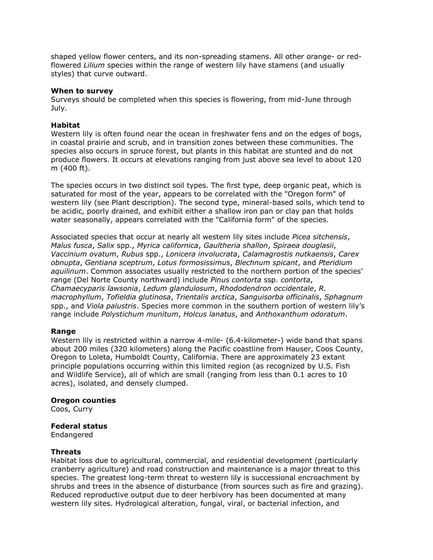shaped yellow flower centers, and its non-spreading stamens. All other orange- or redflowered *Lilium* species within the range of western lily have stamens (and usually styles) that curve outward.

#### **When to survey**

Surveys should be completed when this species is flowering, from mid-June through July.

## **Habitat**

Western lily is often found near the ocean in freshwater fens and on the edges of bogs, in coastal prairie and scrub, and in transition zones between these communities. The species also occurs in spruce forest, but plants in this habitat are stunted and do not produce flowers. It occurs at elevations ranging from just above sea level to about 120 m (400 ft).

The species occurs in two distinct soil types. The first type, deep organic peat, which is saturated for most of the year, appears to be correlated with the "Oregon form" of western lily (see Plant description). The second type, mineral-based soils, which tend to be acidic, poorly drained, and exhibit either a shallow iron pan or clay pan that holds water seasonally, appears correlated with the "California form" of the species.

Associated species that occur at nearly all western lily sites include *Picea sitchensis*, *Malus fusca*, *Salix* spp., *Myrica californica*, *Gaultheria shallon*, *Spiraea douglasii*, *Vaccinium ovatum*, *Rubus* spp., *Lonicera involucrata*, *Calamagrostis nutkaensis*, *Carex obnupta*, *Gentiana sceptrum*, *Lotus formosissimus*, *Blechnum spicant*, and *Pteridium aquilinum*. Common associates usually restricted to the northern portion of the species' range (Del Norte County northward) include *Pinus contorta* ssp. *contorta*, *Chamaecyparis lawsonia*, *Ledum glandulosum*, *Rhododendron occidentale*, *R. macrophyllum*, *Tofieldia glutinosa*, *Trientalis arctica*, *Sanguisorba officinalis*, *Sphagnum* spp., and *Viola palustris*. Species more common in the southern portion of western lily's range include *Polystichum munitum*, *Holcus lanatus*, and *Anthoxanthum odoratum*.

#### **Range**

Western lily is restricted within a narrow 4-mile- (6.4-kilometer-) wide band that spans about 200 miles (320 kilometers) along the Pacific coastline from Hauser, Coos County, Oregon to Loleta, Humboldt County, California. There are approximately 23 extant principle populations occurring within this limited region (as recognized by U.S. Fish and Wildlife Service), all of which are small (ranging from less than 0.1 acres to 10 acres), isolated, and densely clumped.

#### **Oregon counties**

Coos, Curry

# **Federal status**

Endangered

#### **Threats**

Habitat loss due to agricultural, commercial, and residential development (particularly cranberry agriculture) and road construction and maintenance is a major threat to this species. The greatest long-term threat to western lily is successional encroachment by shrubs and trees in the absence of disturbance (from sources such as fire and grazing). Reduced reproductive output due to deer herbivory has been documented at many western lily sites. Hydrological alteration, fungal, viral, or bacterial infection, and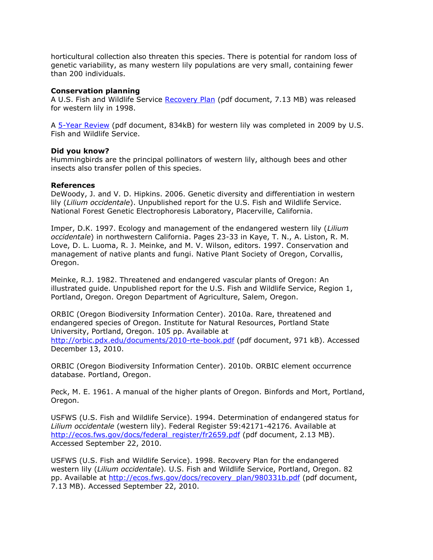horticultural collection also threaten this species. There is potential for random loss of genetic variability, as many western lily populations are very small, containing fewer than 200 individuals.

#### **Conservation planning**

A U.S. Fish and Wildlife Service [Recovery Plan](http://ecos.fws.gov/docs/recovery_plan/980331b.pdf) (pdf document, 7.13 MB) was released for western lily in 1998.

A [5-Year Review](http://ecos.fws.gov/docs/five_year_review/doc2408.pdf) (pdf document, 834kB) for western lily was completed in 2009 by U.S. Fish and Wildlife Service.

## **Did you know?**

Hummingbirds are the principal pollinators of western lily, although bees and other insects also transfer pollen of this species.

## **References**

DeWoody, J. and V. D. Hipkins. 2006. Genetic diversity and differentiation in western lily (*Lilium occidentale*). Unpublished report for the U.S. Fish and Wildlife Service. National Forest Genetic Electrophoresis Laboratory, Placerville, California.

Imper, D.K. 1997. Ecology and management of the endangered western lily (*Lilium occidentale*) in northwestern California. Pages 23-33 in Kaye, T. N., A. Liston, R. M. Love, D. L. Luoma, R. J. Meinke, and M. V. Wilson, editors. 1997. Conservation and management of native plants and fungi. Native Plant Society of Oregon, Corvallis, Oregon.

Meinke, R.J. 1982. Threatened and endangered vascular plants of Oregon: An illustrated guide. Unpublished report for the U.S. Fish and Wildlife Service, Region 1, Portland, Oregon. Oregon Department of Agriculture, Salem, Oregon.

ORBIC (Oregon Biodiversity Information Center). 2010a. Rare, threatened and endangered species of Oregon. Institute for Natural Resources, Portland State University, Portland, Oregon. 105 pp. Available at <http://orbic.pdx.edu/documents/2010-rte-book.pdf> (pdf document, 971 kB). Accessed December 13, 2010.

ORBIC (Oregon Biodiversity Information Center). 2010b. ORBIC element occurrence database. Portland, Oregon.

Peck, M. E. 1961. A manual of the higher plants of Oregon. Binfords and Mort, Portland, Oregon.

USFWS (U.S. Fish and Wildlife Service). 1994. Determination of endangered status for *Lilium occidentale* (western lily). Federal Register 59:42171-42176. Available at [http://ecos.fws.gov/docs/federal\\_register/fr2659.pdf](http://ecos.fws.gov/docs/federal_register/fr2659.pdf) (pdf document, 2.13 MB). Accessed September 22, 2010.

USFWS (U.S. Fish and Wildlife Service). 1998. Recovery Plan for the endangered western lily (*Lilium occidentale*)*.* U.S. Fish and Wildlife Service, Portland, Oregon. 82 pp. Available at [http://ecos.fws.gov/docs/recovery\\_plan/980331b.pdf](http://ecos.fws.gov/docs/recovery_plan/980331b.pdf) (pdf document, 7.13 MB). Accessed September 22, 2010.